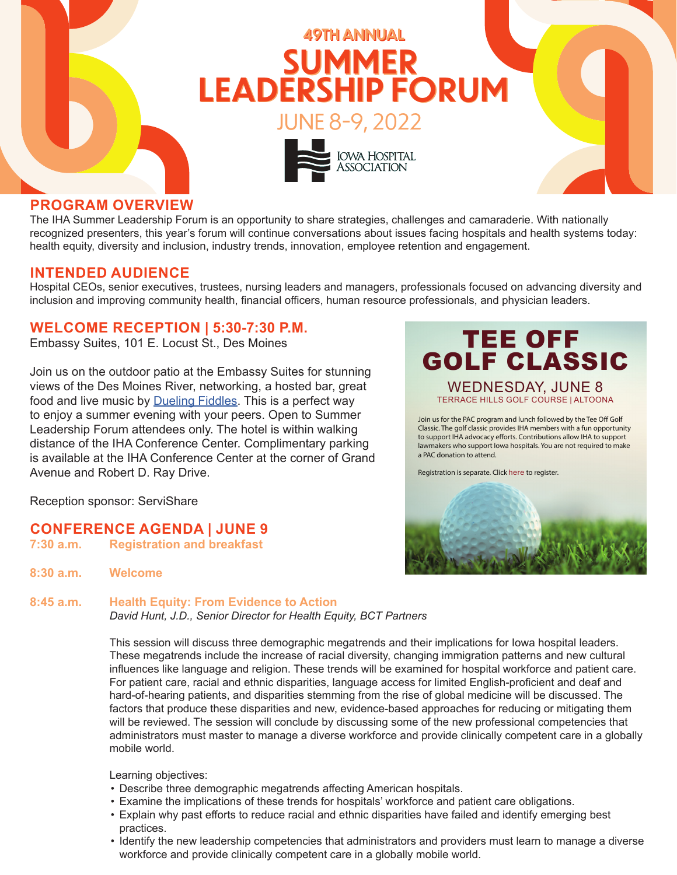

### **PROGRAM OVERVIEW**

The IHA Summer Leadership Forum is an opportunity to share strategies, challenges and camaraderie. With nationally recognized presenters, this year's forum will continue conversations about issues facing hospitals and health systems today: health equity, diversity and inclusion, industry trends, innovation, employee retention and engagement.

### **INTENDED AUDIENCE**

Hospital CEOs, senior executives, trustees, nursing leaders and managers, professionals focused on advancing diversity and inclusion and improving community health, financial officers, human resource professionals, and physician leaders.

### **WELCOME RECEPTION | 5:30-7:30 P.M.**

Embassy Suites, 101 E. Locust St., Des Moines

Join us on the outdoor patio at the Embassy Suites for stunning views of the Des Moines River, networking, a hosted bar, great food and live music by **Dueling Fiddles**. This is a perfect way to enjoy a summer evening with your peers. Open to Summer Leadership Forum attendees only. The hotel is within walking distance of the IHA Conference Center. Complimentary parking is available at the IHA Conference Center at the corner of Grand Avenue and Robert D. Ray Drive.

TEE OFF [GOLF CLASSIC](https://my.ihaonline.org/Events/Calendar-Of-Events/Meeting-Home-Page?meetingid={2A9CAA63-C3B9-EC11-983F-000D3A989106}) WEDNESDAY, JUNE 8 TERRACE HILLS GOLF COURSE | ALTOONA

Join us for the PAC program and lunch followed by the Tee Off Golf Classic. The golf classic provides IHA members with a fun opportunity to support IHA advocacy efforts. Contributions allow IHA to support lawmakers who support Iowa hospitals. You are not required to make a PAC donation to attend.

Registration is separate. Click here to register.



Reception sponsor: ServiShare

- **CONFERENCE AGENDA | JUNE 9**<br>7:30 a.m. Registration and breakfast
- **7:30 a.m. Registration and breakfast**
- **8:30 a.m. Welcome**

**8:45 a.m. Health Equity: From Evidence to Action** *David Hunt, J.D., Senior Director for Health Equity, BCT Partners*

> This session will discuss three demographic megatrends and their implications for Iowa hospital leaders. These megatrends include the increase of racial diversity, changing immigration patterns and new cultural influences like language and religion. These trends will be examined for hospital workforce and patient care. For patient care, racial and ethnic disparities, language access for limited English-proficient and deaf and hard-of-hearing patients, and disparities stemming from the rise of global medicine will be discussed. The factors that produce these disparities and new, evidence-based approaches for reducing or mitigating them will be reviewed. The session will conclude by discussing some of the new professional competencies that administrators must master to manage a diverse workforce and provide clinically competent care in a globally mobile world.

Learning objectives:

- Describe three demographic megatrends affecting American hospitals.
- Examine the implications of these trends for hospitals' workforce and patient care obligations.
- Explain why past efforts to reduce racial and ethnic disparities have failed and identify emerging best practices.
- Identify the new leadership competencies that administrators and providers must learn to manage a diverse workforce and provide clinically competent care in a globally mobile world.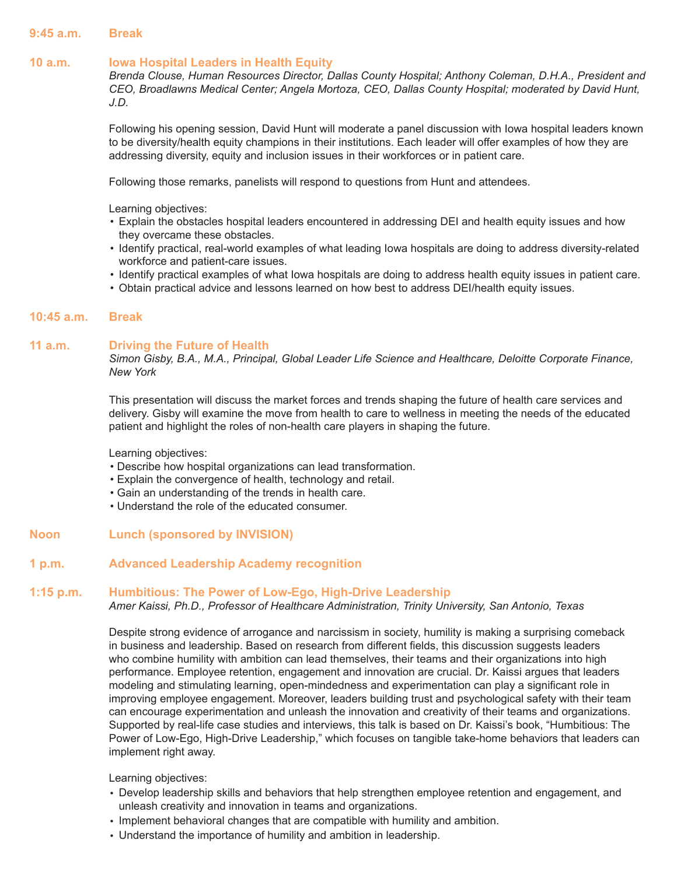### **9:45 a.m. Break**

### **10 a.m. Iowa Hospital Leaders in Health Equity**

*Brenda Clouse, Human Resources Director, Dallas County Hospital; Anthony Coleman, D.H.A., President and CEO, Broadlawns Medical Center; Angela Mortoza, CEO, Dallas County Hospital; moderated by David Hunt, J.D.*

Following his opening session, David Hunt will moderate a panel discussion with Iowa hospital leaders known to be diversity/health equity champions in their institutions. Each leader will offer examples of how they are addressing diversity, equity and inclusion issues in their workforces or in patient care.

Following those remarks, panelists will respond to questions from Hunt and attendees.

Learning objectives:

- Explain the obstacles hospital leaders encountered in addressing DEI and health equity issues and how they overcame these obstacles.
- Identify practical, real-world examples of what leading Iowa hospitals are doing to address diversity-related workforce and patient-care issues.
- Identify practical examples of what Iowa hospitals are doing to address health equity issues in patient care.
- Obtain practical advice and lessons learned on how best to address DEI/health equity issues.

### **10:45 a.m. Break**

### **11 a.m. Driving the Future of Health**

*Simon Gisby, B.A., M.A., Principal, Global Leader Life Science and Healthcare, Deloitte Corporate Finance, New York* 

This presentation will discuss the market forces and trends shaping the future of health care services and delivery. Gisby will examine the move from health to care to wellness in meeting the needs of the educated patient and highlight the roles of non-health care players in shaping the future.

Learning objectives:

- Describe how hospital organizations can lead transformation.
- Explain the convergence of health, technology and retail.
- Gain an understanding of the trends in health care.
- Understand the role of the educated consumer.
- **Noon Lunch (sponsored by INVISION)**

### **1 p.m. Advanced Leadership Academy recognition**

### **1:15 p.m. Humbitious: The Power of Low-Ego, High-Drive Leadership**

*Amer Kaissi, Ph.D., Professor of Healthcare Administration, Trinity University, San Antonio, Texas* 

Despite strong evidence of arrogance and narcissism in society, humility is making a surprising comeback in business and leadership. Based on research from different fields, this discussion suggests leaders who combine humility with ambition can lead themselves, their teams and their organizations into high performance. Employee retention, engagement and innovation are crucial. Dr. Kaissi argues that leaders modeling and stimulating learning, open-mindedness and experimentation can play a significant role in improving employee engagement. Moreover, leaders building trust and psychological safety with their team can encourage experimentation and unleash the innovation and creativity of their teams and organizations. Supported by real-life case studies and interviews, this talk is based on Dr. Kaissi's book, "Humbitious: The Power of Low-Ego, High-Drive Leadership," which focuses on tangible take-home behaviors that leaders can implement right away.

Learning objectives:

- Develop leadership skills and behaviors that help strengthen employee retention and engagement, and unleash creativity and innovation in teams and organizations.
- Implement behavioral changes that are compatible with humility and ambition.
- Understand the importance of humility and ambition in leadership.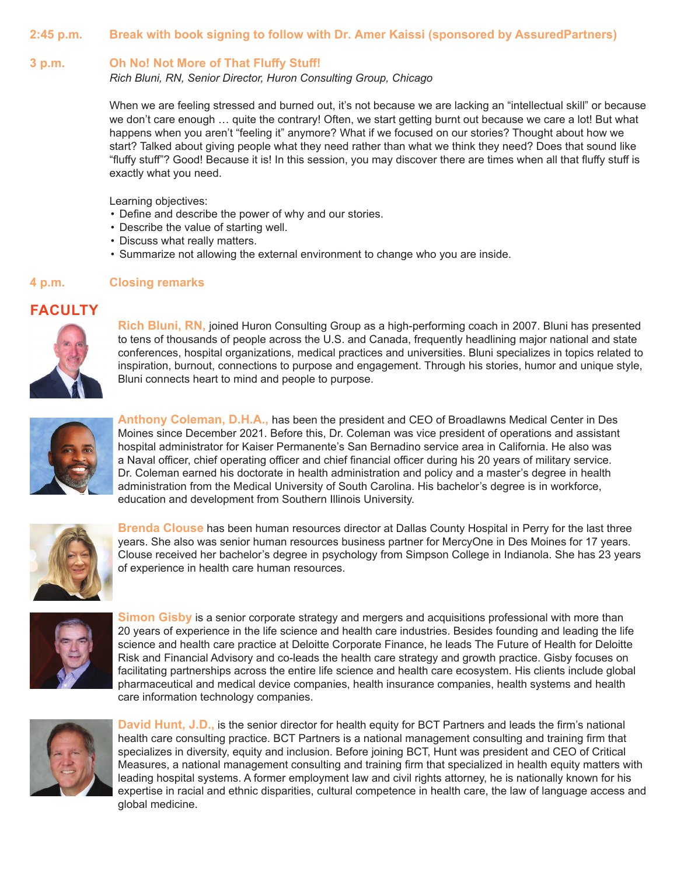### **2:45 p.m. Break with book signing to follow with Dr. Amer Kaissi (sponsored by AssuredPartners)**

### **3 p.m. Oh No! Not More of That Fluffy Stuff!**

*Rich Bluni, RN, Senior Director, Huron Consulting Group, Chicago* 

When we are feeling stressed and burned out, it's not because we are lacking an "intellectual skill" or because we don't care enough … quite the contrary! Often, we start getting burnt out because we care a lot! But what happens when you aren't "feeling it" anymore? What if we focused on our stories? Thought about how we start? Talked about giving people what they need rather than what we think they need? Does that sound like "fluffy stuff"? Good! Because it is! In this session, you may discover there are times when all that fluffy stuff is exactly what you need.

Learning objectives:

- Define and describe the power of why and our stories.
- Describe the value of starting well.
- Discuss what really matters.
- Summarize not allowing the external environment to change who you are inside.

### **4 p.m. Closing remarks**

# **FACULTY**



**Rich Bluni, RN,** joined Huron Consulting Group as a high-performing coach in 2007. Bluni has presented to tens of thousands of people across the U.S. and Canada, frequently headlining major national and state conferences, hospital organizations, medical practices and universities. Bluni specializes in topics related to inspiration, burnout, connections to purpose and engagement. Through his stories, humor and unique style, Bluni connects heart to mind and people to purpose.



**Anthony Coleman, D.H.A.,** has been the president and CEO of Broadlawns Medical Center in Des Moines since December 2021. Before this, Dr. Coleman was vice president of operations and assistant hospital administrator for Kaiser Permanente's San Bernadino service area in California. He also was a Naval officer, chief operating officer and chief financial officer during his 20 years of military service. Dr. Coleman earned his doctorate in health administration and policy and a master's degree in health administration from the Medical University of South Carolina. His bachelor's degree is in workforce, education and development from Southern Illinois University.



**Brenda Clouse** has been human resources director at Dallas County Hospital in Perry for the last three years. She also was senior human resources business partner for MercyOne in Des Moines for 17 years. Clouse received her bachelor's degree in psychology from Simpson College in Indianola. She has 23 years of experience in health care human resources.



**Simon Gisby** is a senior corporate strategy and mergers and acquisitions professional with more than 20 years of experience in the life science and health care industries. Besides founding and leading the life science and health care practice at Deloitte Corporate Finance, he leads The Future of Health for Deloitte Risk and Financial Advisory and co-leads the health care strategy and growth practice. Gisby focuses on facilitating partnerships across the entire life science and health care ecosystem. His clients include global pharmaceutical and medical device companies, health insurance companies, health systems and health care information technology companies.



**David Hunt, J.D.,** is the senior director for health equity for BCT Partners and leads the firm's national health care consulting practice. BCT Partners is a national management consulting and training firm that specializes in diversity, equity and inclusion. Before joining BCT, Hunt was president and CEO of Critical Measures, a national management consulting and training firm that specialized in health equity matters with leading hospital systems. A former employment law and civil rights attorney, he is nationally known for his expertise in racial and ethnic disparities, cultural competence in health care, the law of language access and global medicine.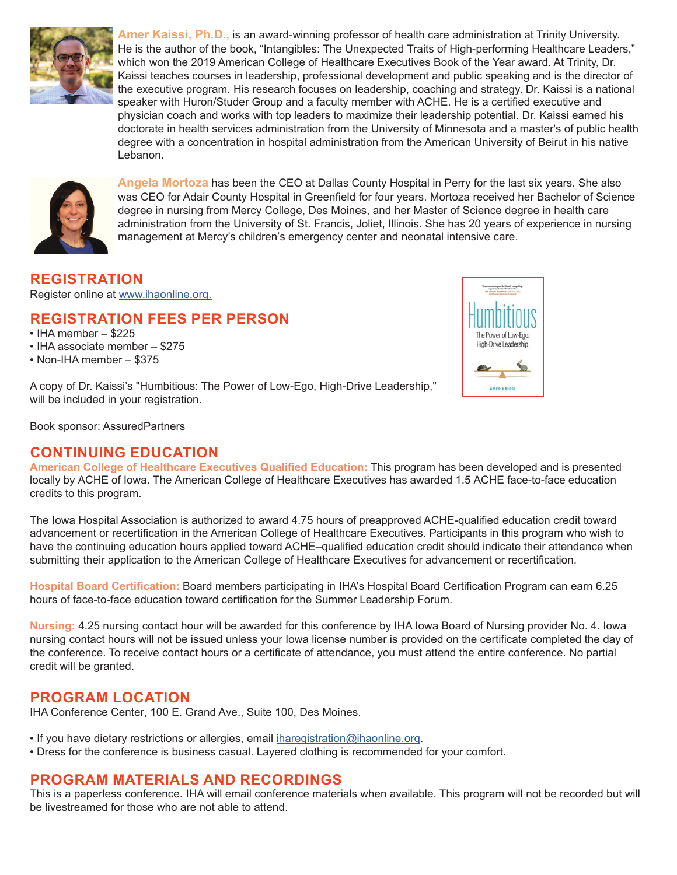

**Amer Kaissi, Ph.D.,** is an award-winning professor of health care administration at Trinity University. He is the author of the book, "Intangibles: The Unexpected Traits of High-performing Healthcare Leaders," which won the 2019 American College of Healthcare Executives Book of the Year award. At Trinity, Dr. Kaissi teaches courses in leadership, professional development and public speaking and is the director of the executive program. His research focuses on leadership, coaching and strategy. Dr. Kaissi is a national speaker with Huron/Studer Group and a faculty member with ACHE. He is a certified executive and physician coach and works with top leaders to maximize their leadership potential. Dr. Kaissi earned his doctorate in health services administration from the University of Minnesota and a master's of public health degree with a concentration in hospital administration from the American University of Beirut in his native Lebanon.



**Angela Mortoza** has been the CEO at Dallas County Hospital in Perry for the last six years. She also was CEO for Adair County Hospital in Greenfield for four years. Mortoza received her Bachelor of Science degree in nursing from Mercy College, Des Moines, and her Master of Science degree in health care administration from the University of St. Francis, Joliet, Illinois. She has 20 years of experience in nursing management at Mercy's children's emergency center and neonatal intensive care.

### **REGISTRATION**

Register online at [www.ihaonline.org.](http://www.ihaonline.org)

# **REGISTRATION FEES PER PERSON**

- IHA member \$225
- IHA associate member \$275
- Non-IHA member \$375

A copy of Dr. Kaissi's "Humbitious: The Power of Low-Ego, High-Drive Leadership," will be included in your registration.

Book sponsor: AssuredPartners

# **CONTINUING EDUCATION**

**American College of Healthcare Executives Qualified Education:** This program has been developed and is presented locally by ACHE of Iowa. The American College of Healthcare Executives has awarded 1.5 ACHE face-to-face education credits to this program.

The Iowa Hospital Association is authorized to award 4.75 hours of preapproved ACHE-qualified education credit toward advancement or recertification in the American College of Healthcare Executives. Participants in this program who wish to have the continuing education hours applied toward ACHE–qualified education credit should indicate their attendance when submitting their application to the American College of Healthcare Executives for advancement or recertification.

**Hospital Board Certification:** Board members participating in IHA's Hospital Board Certification Program can earn 6.25 hours of face-to-face education toward certification for the Summer Leadership Forum.

**Nursing:** 4.25 nursing contact hour will be awarded for this conference by IHA Iowa Board of Nursing provider No. 4. Iowa nursing contact hours will not be issued unless your Iowa license number is provided on the certificate completed the day of the conference. To receive contact hours or a certificate of attendance, you must attend the entire conference. No partial credit will be granted.

# **PROGRAM LOCATION**

IHA Conference Center, 100 E. Grand Ave., Suite 100, Des Moines.

- If you have dietary restrictions or allergies, email iharegistration@ihaonline.org.
- Dress for the conference is business casual. Layered clothing is recommended for your comfort.

# **PROGRAM MATERIALS AND RECORDINGS**

This is a paperless conference. IHA will email conference materials when available. This program will not be recorded but will be livestreamed for those who are not able to attend.